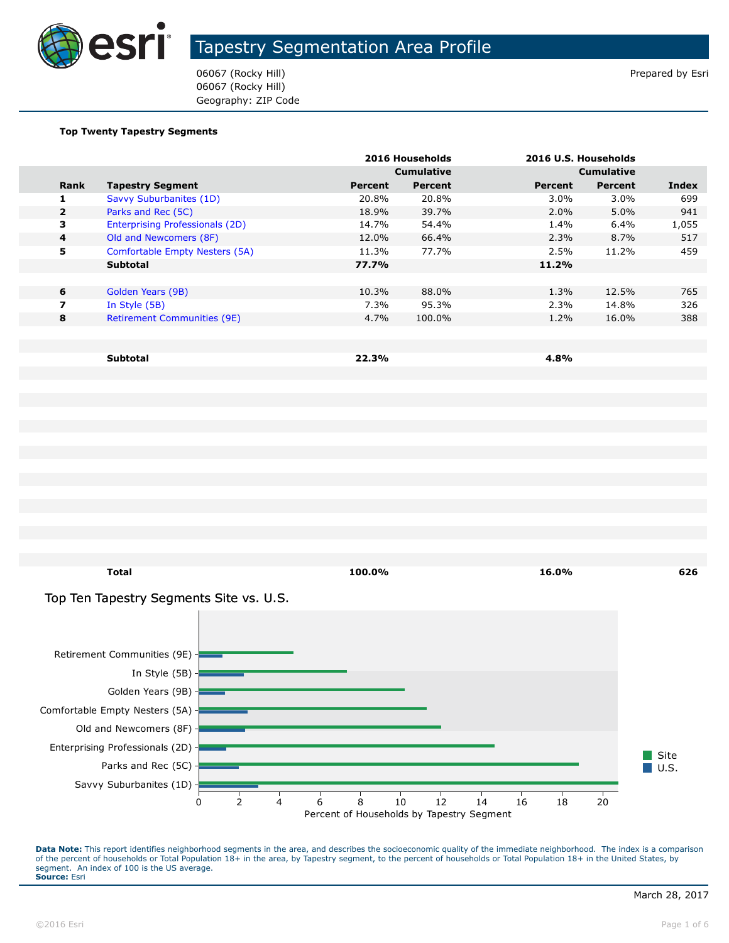

06067 (Rocky Hill) Prepared by Esri 06067 (Rocky Hill) Geography: ZIP Code

#### **Top Twenty Tapestry Segments**

|                |                                    |         | 2016 Households   |         | 2016 U.S. Households |       |
|----------------|------------------------------------|---------|-------------------|---------|----------------------|-------|
|                |                                    |         | <b>Cumulative</b> |         | <b>Cumulative</b>    |       |
| Rank           | <b>Tapestry Segment</b>            | Percent | Percent           | Percent | <b>Percent</b>       | Index |
| 1              | Savvy Suburbanites (1D)            | 20.8%   | 20.8%             | $3.0\%$ | $3.0\%$              | 699   |
| $\overline{2}$ | Parks and Rec (5C)                 | 18.9%   | 39.7%             | $2.0\%$ | $5.0\%$              | 941   |
| 3              | Enterprising Professionals (2D)    | 14.7%   | 54.4%             | 1.4%    | 6.4%                 | 1,055 |
| $\overline{a}$ | Old and Newcomers (8F)             | 12.0%   | 66.4%             | 2.3%    | 8.7%                 | 517   |
| 5              | Comfortable Empty Nesters (5A)     | 11.3%   | 77.7%             | 2.5%    | 11.2%                | 459   |
|                | <b>Subtotal</b>                    | 77.7%   |                   | 11.2%   |                      |       |
|                |                                    |         |                   |         |                      |       |
| 6              | Golden Years (9B)                  | 10.3%   | 88.0%             | 1.3%    | 12.5%                | 765   |
| 7              | In Style (5B)                      | 7.3%    | 95.3%             | 2.3%    | 14.8%                | 326   |
| 8              | <b>Retirement Communities (9E)</b> | 4.7%    | 100.0%            | 1.2%    | 16.0%                | 388   |
|                |                                    |         |                   |         |                      |       |
|                |                                    |         |                   |         |                      |       |
|                | <b>Subtotal</b>                    | 22.3%   |                   | 4.8%    |                      |       |

**Total 100.0% 16.0% 626** Top Ten Tapestry Segments Site vs. U.S.

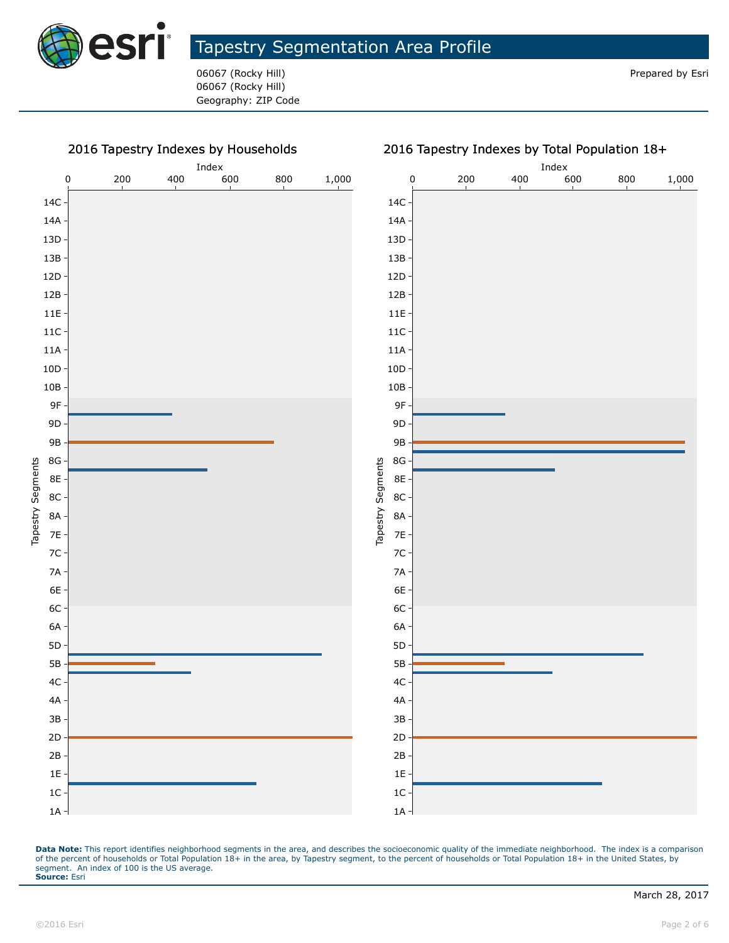

06067 (Rocky Hill) Prepared by Esri 06067 (Rocky Hill) Geography: ZIP Code



#### 2016 Tapestry Indexes by Total Population 18+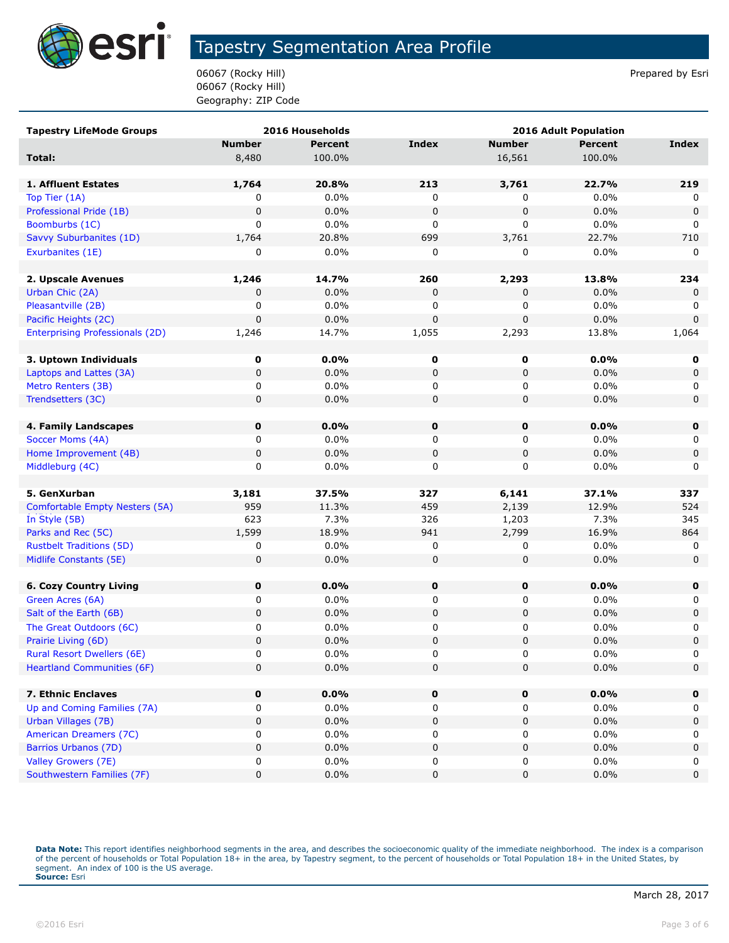

06067 (Rocky Hill) **Prepared by Esri** Prepared by Esri 06067 (Rocky Hill) Geography: ZIP Code

| <b>Tapestry LifeMode Groups</b>        |               | 2016 Households | <b>2016 Adult Population</b> |               |         |             |
|----------------------------------------|---------------|-----------------|------------------------------|---------------|---------|-------------|
|                                        | <b>Number</b> | <b>Percent</b>  | <b>Index</b>                 | <b>Number</b> | Percent | Index       |
| Total:                                 | 8,480         | 100.0%          |                              | 16,561        | 100.0%  |             |
|                                        |               |                 |                              |               |         |             |
| 1. Affluent Estates                    | 1,764         | 20.8%           | 213                          | 3,761         | 22.7%   | 219         |
| Top Tier (1A)                          | 0             | 0.0%            | 0                            | 0             | 0.0%    | 0           |
| Professional Pride (1B)                | $\mathbf 0$   | 0.0%            | 0                            | $\pmb{0}$     | 0.0%    | $\mathbf 0$ |
| Boomburbs (1C)                         | 0             | 0.0%            | 0                            | 0             | 0.0%    | 0           |
| Savvy Suburbanites (1D)                | 1,764         | 20.8%           | 699                          | 3,761         | 22.7%   | 710         |
| Exurbanites (1E)                       | 0             | 0.0%            | 0                            | 0             | $0.0\%$ | 0           |
|                                        |               |                 |                              |               |         |             |
| 2. Upscale Avenues                     | 1,246         | 14.7%           | 260                          | 2,293         | 13.8%   | 234         |
| Urban Chic (2A)                        | 0             | 0.0%            | 0                            | 0             | 0.0%    | 0           |
| Pleasantville (2B)                     | 0             | 0.0%            | 0                            | 0             | 0.0%    | 0           |
| Pacific Heights (2C)                   | $\mathbf 0$   | 0.0%            | 0                            | 0             | 0.0%    | $\mathbf 0$ |
| <b>Enterprising Professionals (2D)</b> | 1,246         | 14.7%           | 1,055                        | 2,293         | 13.8%   | 1,064       |
|                                        |               |                 |                              |               |         |             |
| 3. Uptown Individuals                  | 0             | $0.0\%$         | 0                            | 0             | 0.0%    | 0           |
| Laptops and Lattes (3A)                | 0             | 0.0%            | 0                            | 0             | 0.0%    | 0           |
| Metro Renters (3B)                     | 0             | 0.0%            | 0                            | 0             | 0.0%    | 0           |
| Trendsetters (3C)                      | 0             | 0.0%            | 0                            | 0             | 0.0%    | $\mathbf 0$ |
|                                        |               |                 |                              |               |         |             |
| 4. Family Landscapes                   | $\mathbf 0$   | 0.0%            | $\mathbf 0$                  | 0             | 0.0%    | $\mathbf 0$ |
| Soccer Moms (4A)                       | 0             | 0.0%            | 0                            | 0             | 0.0%    | 0           |
| Home Improvement (4B)                  | $\pmb{0}$     | 0.0%            | 0                            | $\pmb{0}$     | 0.0%    | 0           |
| Middleburg (4C)                        | 0             | 0.0%            | 0                            | 0             | 0.0%    | 0           |
|                                        |               |                 |                              |               |         |             |
| 5. GenXurban                           | 3,181         | 37.5%           | 327                          | 6,141         | 37.1%   | 337         |
| Comfortable Empty Nesters (5A)         | 959           | 11.3%           | 459                          | 2,139         | 12.9%   | 524         |
| In Style (5B)                          | 623           | 7.3%            | 326                          | 1,203         | 7.3%    | 345         |
| Parks and Rec (5C)                     | 1,599         | 18.9%           | 941                          | 2,799         | 16.9%   | 864         |
| <b>Rustbelt Traditions (5D)</b>        | 0             | 0.0%            | 0                            | 0             | 0.0%    | 0           |
| Midlife Constants (5E)                 | 0             | 0.0%            | 0                            | 0             | 0.0%    | $\mathbf 0$ |
|                                        |               |                 |                              |               |         |             |
| <b>6. Cozy Country Living</b>          | 0             | 0.0%            | 0                            | 0             | 0.0%    | $\mathbf 0$ |
| Green Acres (6A)                       | 0             | 0.0%            | 0                            | 0             | 0.0%    | 0           |
| Salt of the Earth (6B)                 | 0             | 0.0%            | 0                            | 0             | 0.0%    | 0           |
| The Great Outdoors (6C)                | 0             | $0.0\%$         | 0                            | 0             | 0.0%    | 0           |
| Prairie Living (6D)                    | $\pmb{0}$     | 0.0%            | 0                            | 0             | 0.0%    | $\pmb{0}$   |
| <b>Rural Resort Dwellers (6E)</b>      | 0             | 0.0%            | $\Omega$                     | 0             | 0.0%    | 0           |
| <b>Heartland Communities (6F)</b>      | $\mathbf 0$   | 0.0%            | 0                            | 0             | 0.0%    | 0           |
|                                        |               |                 |                              |               |         |             |
| 7. Ethnic Enclaves                     | 0             | 0.0%            | 0                            | 0             | 0.0%    | $\mathbf 0$ |
| Up and Coming Families (7A)            | 0             | 0.0%            | 0                            | 0             | 0.0%    | 0           |
| Urban Villages (7B)                    | 0             | 0.0%            | 0                            | 0             | 0.0%    | 0           |
| American Dreamers (7C)                 | 0             | 0.0%            | 0                            | 0             | 0.0%    | 0           |
| Barrios Urbanos (7D)                   | 0             | 0.0%            | 0                            | 0             | 0.0%    | $\pmb{0}$   |
| Valley Growers (7E)                    | 0             | 0.0%            | 0                            | 0             | 0.0%    | 0           |
| Southwestern Families (7F)             | 0             | 0.0%            | 0                            | 0             | 0.0%    | $\pmb{0}$   |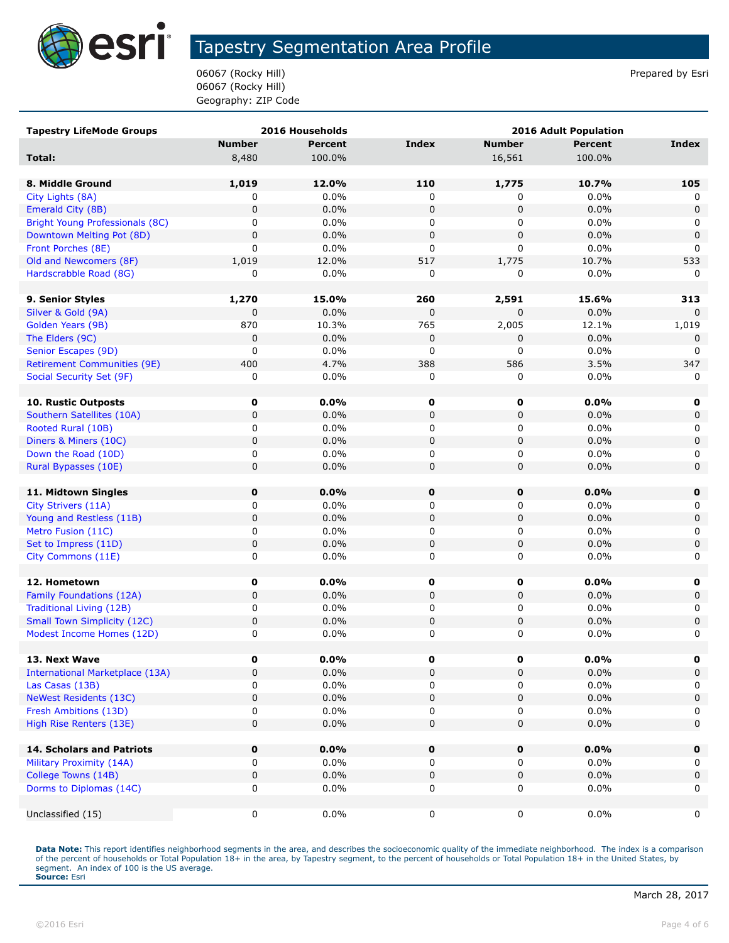

06067 (Rocky Hill) **Prepared by Esri** Prepared by Esri 06067 (Rocky Hill) Geography: ZIP Code

| <b>Tapestry LifeMode Groups</b>        |               | 2016 Households | <b>2016 Adult Population</b> |               |                 |              |
|----------------------------------------|---------------|-----------------|------------------------------|---------------|-----------------|--------------|
|                                        | <b>Number</b> | <b>Percent</b>  | Index                        | <b>Number</b> | <b>Percent</b>  | <b>Index</b> |
| Total:                                 | 8,480         | 100.0%          |                              | 16,561        | 100.0%          |              |
|                                        |               |                 |                              |               |                 |              |
| 8. Middle Ground                       | 1,019         | 12.0%           | 110                          | 1,775         | 10.7%           | 105          |
| City Lights (8A)                       | 0             | 0.0%            | 0                            | 0             | 0.0%            | 0            |
| Emerald City (8B)                      | 0             | 0.0%            | $\mathbf 0$                  | $\pmb{0}$     | 0.0%            | $\mathbf 0$  |
| Bright Young Professionals (8C)        | 0             | $0.0\%$         | 0                            | 0             | $0.0\%$         | 0            |
| Downtown Melting Pot (8D)              | 0             | 0.0%            | $\mathbf 0$                  | $\pmb{0}$     | 0.0%            | $\mathbf 0$  |
| Front Porches (8E)                     | 0             | 0.0%            | 0                            | $\mathbf 0$   | $0.0\%$         | 0            |
| Old and Newcomers (8F)                 | 1,019         | 12.0%           | 517                          | 1,775         | 10.7%           | 533          |
| Hardscrabble Road (8G)                 | 0             | 0.0%            | 0                            | 0             | 0.0%            | $\mathbf{0}$ |
|                                        |               |                 |                              |               |                 |              |
| 9. Senior Styles                       | 1,270         | 15.0%           | 260                          | 2,591         | 15.6%           | 313          |
| Silver & Gold (9A)                     | 0             | 0.0%            | 0                            | 0             | 0.0%            | $\Omega$     |
| Golden Years (9B)                      | 870           | 10.3%           | 765                          | 2,005         | 12.1%           | 1,019        |
| The Elders (9C)                        | 0             | 0.0%            | 0                            | $\pmb{0}$     | 0.0%            | $\mathbf 0$  |
| Senior Escapes (9D)                    | 0             | $0.0\%$         | 0                            | 0             | $0.0\%$         | 0            |
| <b>Retirement Communities (9E)</b>     | 400           | 4.7%            | 388                          | 586           | 3.5%            | 347          |
| Social Security Set (9F)               | 0             | $0.0\%$         | 0                            | 0             | $0.0\%$         | 0            |
| <b>10. Rustic Outposts</b>             | 0             | $0.0\%$         |                              |               | 0.0%            |              |
| Southern Satellites (10A)              | 0             | $0.0\%$         | 0<br>0                       | 0             | 0.0%            | 0<br>0       |
| Rooted Rural (10B)                     | 0             |                 |                              | 0             |                 |              |
| Diners & Miners (10C)                  | $\mathbf 0$   | $0.0\%$<br>0.0% | 0<br>$\mathbf 0$             | 0<br>0        | $0.0\%$<br>0.0% | 0<br>0       |
| Down the Road (10D)                    | 0             | 0.0%            | 0                            | 0             | 0.0%            | 0            |
| Rural Bypasses (10E)                   | 0             | 0.0%            | $\mathbf 0$                  | $\pmb{0}$     | 0.0%            | $\mathbf 0$  |
|                                        |               |                 |                              |               |                 |              |
| 11. Midtown Singles                    | $\mathbf 0$   | 0.0%            | 0                            | $\mathbf 0$   | 0.0%            | 0            |
| City Strivers (11A)                    | 0             | $0.0\%$         | 0                            | 0             | 0.0%            | 0            |
| Young and Restless (11B)               | 0             | 0.0%            | $\mathbf 0$                  | $\pmb{0}$     | 0.0%            | $\mathbf 0$  |
| Metro Fusion (11C)                     | 0             | $0.0\%$         | 0                            | 0             | $0.0\%$         | 0            |
| Set to Impress (11D)                   | 0             | $0.0\%$         | 0                            | $\pmb{0}$     | $0.0\%$         | 0            |
| City Commons (11E)                     | 0             | 0.0%            | $\mathbf 0$                  | 0             | $0.0\%$         | 0            |
|                                        |               |                 |                              |               |                 |              |
| 12. Hometown                           | 0             | 0.0%            | 0                            | 0             | $0.0\%$         | 0            |
| Family Foundations (12A)               | 0             | 0.0%            | $\mathbf 0$                  | $\pmb{0}$     | 0.0%            | $\mathbf 0$  |
| Traditional Living (12B)               | 0             | $0.0\%$         | 0                            | 0             | $0.0\%$         | 0            |
| <b>Small Town Simplicity (12C)</b>     | 0             | 0.0%            | 0                            | 0             | 0.0%            | $\mathsf 0$  |
| Modest Income Homes (12D)              | 0             | 0.0%            | 0                            | 0             | 0.0%            | 0            |
|                                        |               |                 |                              |               |                 |              |
| 13. Next Wave                          | 0             | 0.0%            | 0                            | 0             | $0.0\%$         | 0            |
| <b>International Marketplace (13A)</b> | 0             | 0.0%            | $\mathbf 0$                  | $\pmb{0}$     | 0.0%            | 0            |
| Las Casas (13B)                        | 0             | $0.0\%$         | 0                            | 0             | $0.0\%$         | 0            |
| <b>NeWest Residents (13C)</b>          | 0             | 0.0%            | 0                            | 0             | 0.0%            | 0            |
| Fresh Ambitions (13D)                  | 0             | 0.0%            | 0                            | 0             | 0.0%            | 0            |
| High Rise Renters (13E)                | 0             | 0.0%            | 0                            | $\pmb{0}$     | 0.0%            | $\mathbf 0$  |
|                                        |               |                 |                              |               |                 |              |
| 14. Scholars and Patriots              | $\mathbf 0$   | 0.0%            | 0                            | 0             | 0.0%            | $\mathbf 0$  |
| Military Proximity (14A)               | 0             | $0.0\%$         | 0                            | 0             | $0.0\%$         | 0            |
| College Towns (14B)                    | 0             | 0.0%            | $\pmb{0}$                    | $\pmb{0}$     | 0.0%            | $\mathbf 0$  |
| Dorms to Diplomas (14C)                | 0             | $0.0\%$         | $\mathbf 0$                  | 0             | $0.0\%$         | 0            |
|                                        |               |                 |                              |               |                 |              |
| Unclassified (15)                      | 0             | $0.0\%$         | 0                            | 0             | $0.0\%$         | 0            |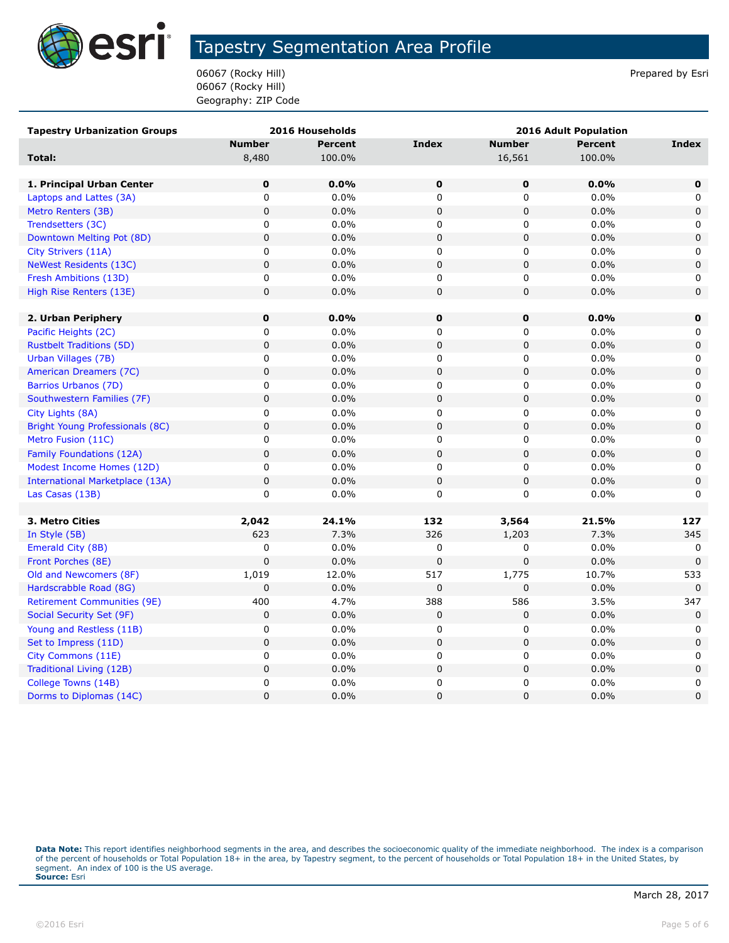

06067 (Rocky Hill) **Prepared by Esri** Prepared by Esri 06067 (Rocky Hill) Geography: ZIP Code

| <b>Tapestry Urbanization Groups</b>    |                | 2016 Households | <b>2016 Adult Population</b> |               |                |                     |
|----------------------------------------|----------------|-----------------|------------------------------|---------------|----------------|---------------------|
|                                        | <b>Number</b>  | <b>Percent</b>  | <b>Index</b>                 | <b>Number</b> | <b>Percent</b> | Index               |
| Total:                                 | 8,480          | 100.0%          |                              | 16,561        | 100.0%         |                     |
|                                        |                |                 |                              |               |                |                     |
| 1. Principal Urban Center              | $\mathbf 0$    | 0.0%            | 0                            | 0             | 0.0%           | 0                   |
| Laptops and Lattes (3A)                | 0              | 0.0%            | 0                            | 0             | 0.0%           | 0                   |
| Metro Renters (3B)                     | $\pmb{0}$      | 0.0%            | $\pmb{0}$                    | $\pmb{0}$     | 0.0%           | $\mathbf 0$         |
| Trendsetters (3C)                      | 0              | 0.0%            | 0                            | 0             | 0.0%           | 0                   |
| Downtown Melting Pot (8D)              | $\pmb{0}$      | 0.0%            | 0                            | 0             | 0.0%           | $\mathsf{O}\xspace$ |
| City Strivers (11A)                    | $\mathbf 0$    | 0.0%            | 0                            | 0             | 0.0%           | 0                   |
| <b>NeWest Residents (13C)</b>          | $\mathbf 0$    | 0.0%            | $\pmb{0}$                    | $\pmb{0}$     | 0.0%           | $\mathbf 0$         |
| Fresh Ambitions (13D)                  | 0              | 0.0%            | 0                            | 0             | 0.0%           | 0                   |
| High Rise Renters (13E)                | $\pmb{0}$      | 0.0%            | $\pmb{0}$                    | $\pmb{0}$     | 0.0%           | $\mathbf 0$         |
|                                        |                |                 |                              |               |                |                     |
| 2. Urban Periphery                     | $\mathbf 0$    | 0.0%            | $\mathbf 0$                  | 0             | 0.0%           | 0                   |
| Pacific Heights (2C)                   | 0              | 0.0%            | 0                            | 0             | 0.0%           | 0                   |
| <b>Rustbelt Traditions (5D)</b>        | $\mathbf 0$    | 0.0%            | $\mathbf 0$                  | $\mathbf 0$   | 0.0%           | $\mathbf 0$         |
| Urban Villages (7B)                    | $\mathbf 0$    | 0.0%            | 0                            | 0             | 0.0%           | 0                   |
| American Dreamers (7C)                 | $\mathbf 0$    | 0.0%            | $\pmb{0}$                    | 0             | 0.0%           | $\mathbf 0$         |
| Barrios Urbanos (7D)                   | 0              | 0.0%            | 0                            | 0             | 0.0%           | 0                   |
| Southwestern Families (7F)             | $\mathbf 0$    | 0.0%            | $\pmb{0}$                    | $\pmb{0}$     | 0.0%           | $\pmb{0}$           |
| City Lights (8A)                       | 0              | 0.0%            | 0                            | 0             | 0.0%           | 0                   |
| Bright Young Professionals (8C)        | $\mathbf 0$    | 0.0%            | $\mathbf 0$                  | $\mathbf 0$   | 0.0%           | $\mathbf 0$         |
| Metro Fusion (11C)                     | 0              | 0.0%            | 0                            | 0             | 0.0%           | 0                   |
| Family Foundations (12A)               | $\mathbf 0$    | 0.0%            | $\pmb{0}$                    | $\mathbf 0$   | 0.0%           | $\mathbf 0$         |
| Modest Income Homes (12D)              | $\mathbf 0$    | 0.0%            | 0                            | 0             | 0.0%           | 0                   |
| <b>International Marketplace (13A)</b> | $\mathbf 0$    | 0.0%            | $\pmb{0}$                    | $\mathbf 0$   | 0.0%           | $\mathbf 0$         |
| Las Casas (13B)                        | $\mathbf 0$    | 0.0%            | 0                            | 0             | 0.0%           | 0                   |
|                                        |                |                 |                              |               |                |                     |
| 3. Metro Cities                        | 2,042          | 24.1%           | 132                          | 3,564         | 21.5%          | 127                 |
| In Style (5B)                          | 623            | 7.3%            | 326                          | 1,203         | 7.3%           | 345                 |
| Emerald City (8B)                      | 0              | 0.0%            | 0                            | 0             | 0.0%           | 0                   |
| Front Porches (8E)                     | $\mathbf 0$    | 0.0%            | $\mathbf 0$                  | $\mathbf 0$   | 0.0%           | $\mathbf 0$         |
| Old and Newcomers (8F)                 | 1,019          | 12.0%           | 517                          | 1,775         | 10.7%          | 533                 |
| Hardscrabble Road (8G)                 | $\mathbf 0$    | 0.0%            | $\pmb{0}$                    | 0             | 0.0%           | $\mathbf 0$         |
| <b>Retirement Communities (9E)</b>     | 400            | 4.7%            | 388                          | 586           | 3.5%           | 347                 |
| Social Security Set (9F)               | $\mathbf 0$    | 0.0%            | $\pmb{0}$                    | 0             | 0.0%           | $\mathbf 0$         |
| Young and Restless (11B)               | $\mathsf 0$    | 0.0%            | 0                            | 0             | 0.0%           | 0                   |
| Set to Impress (11D)                   | $\mathbf 0$    | 0.0%            | $\pmb{0}$                    | $\mathbf 0$   | 0.0%           | $\mathbf 0$         |
| City Commons (11E)                     | $\pmb{0}$      | 0.0%            | 0                            | 0             | 0.0%           | 0                   |
| Traditional Living (12B)               | $\pmb{0}$      | 0.0%            | $\mathsf 0$                  | $\pmb{0}$     | 0.0%           | $\mathbf 0$         |
| College Towns (14B)                    | $\mathbf 0$    | 0.0%            | 0                            | 0             | 0.0%           | 0                   |
| Dorms to Diplomas (14C)                | $\overline{0}$ | 0.0%            | $\Omega$                     | 0             | 0.0%           | $\Omega$            |